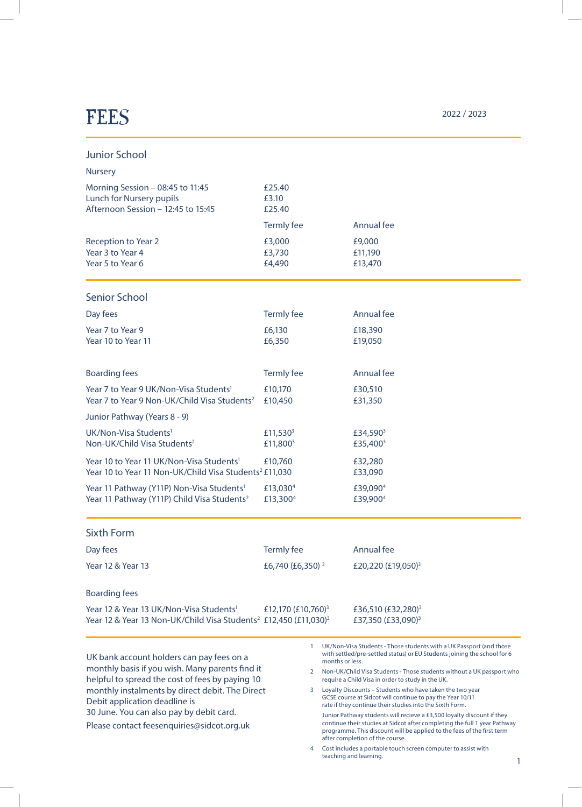## $\text{FEES}$  2022 / 2023

 $\overline{\phantom{a}}$ 

 $\overline{\phantom{a}}$ 

| <b>Junior School</b>                                                                                                                                                                                                                                                                                                          |                                              |                 |                                                                                                                                                                                                                                                                                                                                                                                                                                                                                                                                                                                                                                                                                                                                                                                                                                   |  |
|-------------------------------------------------------------------------------------------------------------------------------------------------------------------------------------------------------------------------------------------------------------------------------------------------------------------------------|----------------------------------------------|-----------------|-----------------------------------------------------------------------------------------------------------------------------------------------------------------------------------------------------------------------------------------------------------------------------------------------------------------------------------------------------------------------------------------------------------------------------------------------------------------------------------------------------------------------------------------------------------------------------------------------------------------------------------------------------------------------------------------------------------------------------------------------------------------------------------------------------------------------------------|--|
| <b>Nursery</b>                                                                                                                                                                                                                                                                                                                |                                              |                 |                                                                                                                                                                                                                                                                                                                                                                                                                                                                                                                                                                                                                                                                                                                                                                                                                                   |  |
| Morning Session - 08:45 to 11:45<br>Lunch for Nursery pupils<br>Afternoon Session - 12:45 to 15:45                                                                                                                                                                                                                            | £25.40<br>£3.10<br>£25.40                    |                 |                                                                                                                                                                                                                                                                                                                                                                                                                                                                                                                                                                                                                                                                                                                                                                                                                                   |  |
|                                                                                                                                                                                                                                                                                                                               | Termly fee                                   |                 | Annual fee                                                                                                                                                                                                                                                                                                                                                                                                                                                                                                                                                                                                                                                                                                                                                                                                                        |  |
| <b>Reception to Year 2</b><br>Year 3 to Year 4<br>Year 5 to Year 6                                                                                                                                                                                                                                                            | £3,000<br>£3,730<br>£4,490                   |                 | £9,000<br>£11,190<br>£13,470                                                                                                                                                                                                                                                                                                                                                                                                                                                                                                                                                                                                                                                                                                                                                                                                      |  |
| <b>Senior School</b>                                                                                                                                                                                                                                                                                                          |                                              |                 |                                                                                                                                                                                                                                                                                                                                                                                                                                                                                                                                                                                                                                                                                                                                                                                                                                   |  |
| Day fees                                                                                                                                                                                                                                                                                                                      | Termly fee                                   |                 | Annual fee                                                                                                                                                                                                                                                                                                                                                                                                                                                                                                                                                                                                                                                                                                                                                                                                                        |  |
| Year 7 to Year 9<br>Year 10 to Year 11                                                                                                                                                                                                                                                                                        | £6,130<br>£6,350                             |                 | £18,390<br>£19,050                                                                                                                                                                                                                                                                                                                                                                                                                                                                                                                                                                                                                                                                                                                                                                                                                |  |
| <b>Boarding fees</b>                                                                                                                                                                                                                                                                                                          | Termly fee                                   |                 | Annual fee                                                                                                                                                                                                                                                                                                                                                                                                                                                                                                                                                                                                                                                                                                                                                                                                                        |  |
| Year 7 to Year 9 UK/Non-Visa Students <sup>1</sup><br>Year 7 to Year 9 Non-UK/Child Visa Students <sup>2</sup>                                                                                                                                                                                                                | £10,170<br>£10,450                           |                 | £30,510<br>£31,350                                                                                                                                                                                                                                                                                                                                                                                                                                                                                                                                                                                                                                                                                                                                                                                                                |  |
| Junior Pathway (Years 8 - 9)                                                                                                                                                                                                                                                                                                  |                                              |                 |                                                                                                                                                                                                                                                                                                                                                                                                                                                                                                                                                                                                                                                                                                                                                                                                                                   |  |
| UK/Non-Visa Students <sup>1</sup><br>Non-UK/Child Visa Students <sup>2</sup>                                                                                                                                                                                                                                                  | £11,530 <sup>3</sup><br>£11,800 <sup>3</sup> |                 | £34,590 <sup>3</sup><br>£35,400 <sup>3</sup>                                                                                                                                                                                                                                                                                                                                                                                                                                                                                                                                                                                                                                                                                                                                                                                      |  |
| Year 10 to Year 11 UK/Non-Visa Students <sup>1</sup><br>Year 10 to Year 11 Non-UK/Child Visa Students <sup>2</sup> £11,030                                                                                                                                                                                                    | £10,760                                      |                 | £32,280<br>£33,090                                                                                                                                                                                                                                                                                                                                                                                                                                                                                                                                                                                                                                                                                                                                                                                                                |  |
| Year 11 Pathway (Y11P) Non-Visa Students <sup>1</sup><br>Year 11 Pathway (Y11P) Child Visa Students <sup>2</sup>                                                                                                                                                                                                              | £13,030 <sup>4</sup><br>£13,300 <sup>4</sup> |                 | £39,090 <sup>4</sup><br>£39,900 <sup>4</sup>                                                                                                                                                                                                                                                                                                                                                                                                                                                                                                                                                                                                                                                                                                                                                                                      |  |
| <b>Sixth Form</b>                                                                                                                                                                                                                                                                                                             |                                              |                 |                                                                                                                                                                                                                                                                                                                                                                                                                                                                                                                                                                                                                                                                                                                                                                                                                                   |  |
| Day fees                                                                                                                                                                                                                                                                                                                      | <b>Termly fee</b>                            |                 | Annual fee                                                                                                                                                                                                                                                                                                                                                                                                                                                                                                                                                                                                                                                                                                                                                                                                                        |  |
| Year 12 & Year 13                                                                                                                                                                                                                                                                                                             | £6,740 (£6,350) <sup>3</sup>                 |                 | £20,220 (£19,050) <sup>3</sup>                                                                                                                                                                                                                                                                                                                                                                                                                                                                                                                                                                                                                                                                                                                                                                                                    |  |
| <b>Boarding fees</b>                                                                                                                                                                                                                                                                                                          |                                              |                 |                                                                                                                                                                                                                                                                                                                                                                                                                                                                                                                                                                                                                                                                                                                                                                                                                                   |  |
| Year 12 & Year 13 UK/Non-Visa Students <sup>1</sup><br>Year 12 & Year 13 Non-UK/Child Visa Students <sup>2</sup> £12,450 (£11,030) <sup>3</sup>                                                                                                                                                                               | £12,170 (£10,760) <sup>3</sup>               |                 | £36,510 (£32,280) <sup>3</sup><br>£37,350 (£33,090) <sup>3</sup>                                                                                                                                                                                                                                                                                                                                                                                                                                                                                                                                                                                                                                                                                                                                                                  |  |
| UK bank account holders can pay fees on a<br>monthly basis if you wish. Many parents find it<br>helpful to spread the cost of fees by paying 10<br>monthly instalments by direct debit. The Direct<br>Debit application deadline is<br>30 June. You can also pay by debit card.<br>Please contact feesenquiries@sidcot.org.uk | -1<br>2<br>3<br>4                            | months or less. | UK/Non-Visa Students - Those students with a UK Passport (and those<br>with settled/pre-settled status) or EU Students joining the school for 6<br>Non-UK/Child Visa Students - Those students without a UK passport who<br>require a Child Visa in order to study in the UK.<br>Loyalty Discounts - Students who have taken the two year<br>GCSE course at Sidcot will continue to pay the Year 10/11<br>rate if they continue their studies into the Sixth Form.<br>Junior Pathway students will recieve a £3,500 loyalty discount if they<br>continue their studies at Sidcot after completing the full 1 year Pathway<br>programme. This discount will be applied to the fees of the first term<br>after completion of the course.<br>Cost includes a portable touch screen computer to assist with<br>teaching and learning. |  |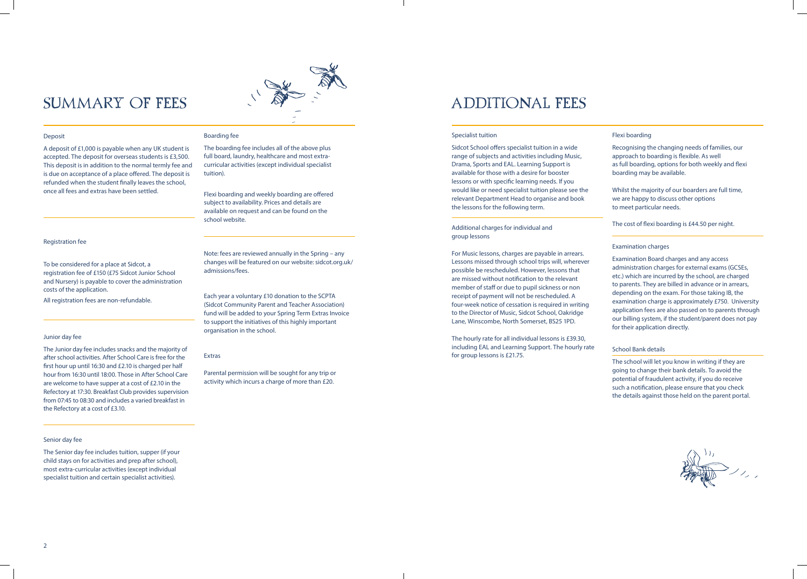### Specialist tuition

Sidcot School offers specialist tuition in a wide range of subjects and activities including Music, Drama, Sports and EAL. Learning Support is available for those with a desire for booster lessons or with specific learning needs. If you would like or need specialist tuition please see the relevant Department Head to organise and book the lessons for the following term.

### Additional charges for individual and group lessons

For Music lessons, charges are payable in arrears. Lessons missed through school trips will, wherever possible be rescheduled. However, lessons that are missed without notification to the relevant member of staff or due to pupil sickness or non receipt of payment will not be rescheduled. A four-week notice of cessation is required in writing to the Director of Music, Sidcot School, Oakridge Lane, Winscombe, North Somerset, BS25 1PD.

The hourly rate for all individual lessons is £39.30, including EAL and Learning Support. The hourly rate for group lessons is £21.75.

### Additional fees

|  | Flexi boarding |  |
|--|----------------|--|
|  |                |  |

Recognising the changing needs of families, our approach to boarding is flexible. As well as full boarding, options for both weekly and flexi boarding may be available.

Whilst the majority of our boarders are full time, we are happy to discuss other options to meet particular needs.

The cost of flexi boarding is £44.50 per night.

#### Examination charges

Examination Board charges and any access administration charges for external exams (GCSEs, etc.) which are incurred by the school, are charged to parents. They are billed in advance or in arrears, depending on the exam. For those taking IB, the examination charge is approximately £750. University application fees are also passed on to parents through our billing system, if the student/parent does not pay for their application directly.

### School Bank details

The school will let you know in writing if they are going to change their bank details. To avoid the potential of fraudulent activity, if you do receive such a notification, please ensure that you check the details against those held on the parent portal.



## Summary of fees



### Deposit

A deposit of £1,000 is payable when any UK student is accepted. The deposit for overseas students is £3,500. This deposit is in addition to the normal termly fee and is due on acceptance of a place offered. The deposit is refunded when the student finally leaves the school, once all fees and extras have been settled.

### Registration fee

To be considered for a place at Sidcot, a registration fee of £150 (£75 Sidcot Junior School and Nursery) is payable to cover the administration costs of the application.

All registration fees are non-refundable.

### Junior day fee

The Junior day fee includes snacks and the majority of after school activities. After School Care is free for the first hour up until 16:30 and £2.10 is charged per half hour from 16:30 until 18:00. Those in After School Care are welcome to have supper at a cost of £2.10 in the Refectory at 17:30. Breakfast Club provides supervision from 07:45 to 08:30 and includes a varied breakfast in the Refectory at a cost of £3.10.

### Senior day fee

The Senior day fee includes tuition, supper (if your child stays on for activities and prep after school), most extra-curricular activities (except individual specialist tuition and certain specialist activities).

### Boarding fee

The boarding fee includes all of the above plus full board, laundry, healthcare and most extracurricular activities (except individual specialist tuition).

Flexi boarding and weekly boarding are offered subject to availability. Prices and details are available on request and can be found on the school website.

### Note: fees are reviewed annually in the Spring – any

changes will be featured on our website: sidcot.org.uk/ admissions/fees.

### Each year a voluntary £10 donation to the SCPTA (Sidcot Community Parent and Teacher Association) fund will be added to your Spring Term Extras Invoice to support the initiatives of this highly important organisation in the school.

#### Extras

Parental permission will be sought for any trip or activity which incurs a charge of more than £20.